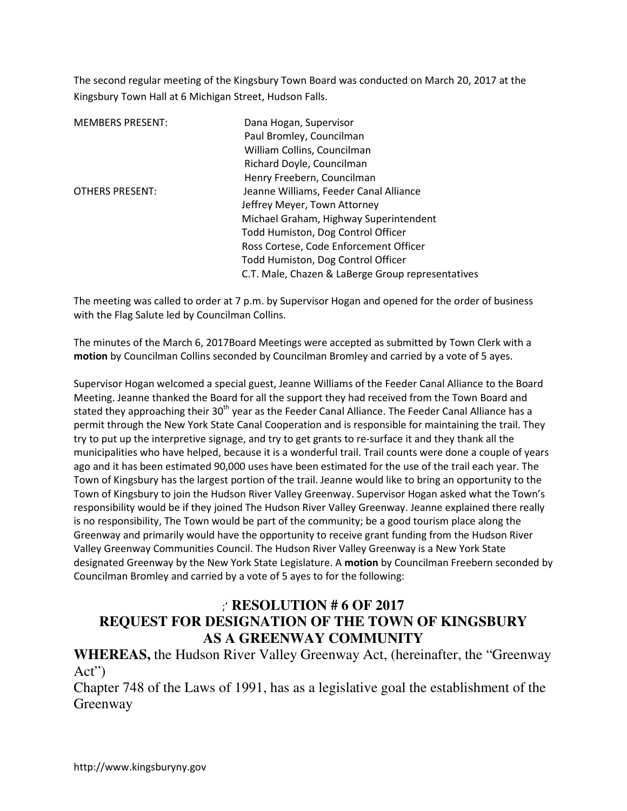The second regular meeting of the Kingsbury Town Board was conducted on March 20, 2017 at the Kingsbury Town Hall at 6 Michigan Street, Hudson Falls.

| <b>MEMBERS PRESENT:</b> | Dana Hogan, Supervisor                            |
|-------------------------|---------------------------------------------------|
|                         | Paul Bromley, Councilman                          |
|                         | William Collins, Councilman                       |
|                         | Richard Doyle, Councilman                         |
|                         | Henry Freebern, Councilman                        |
| <b>OTHERS PRESENT:</b>  | Jeanne Williams, Feeder Canal Alliance            |
|                         | Jeffrey Meyer, Town Attorney                      |
|                         | Michael Graham, Highway Superintendent            |
|                         | Todd Humiston, Dog Control Officer                |
|                         | Ross Cortese, Code Enforcement Officer            |
|                         | Todd Humiston, Dog Control Officer                |
|                         | C.T. Male, Chazen & LaBerge Group representatives |

The meeting was called to order at 7 p.m. by Supervisor Hogan and opened for the order of business with the Flag Salute led by Councilman Collins.

The minutes of the March 6, 2017Board Meetings were accepted as submitted by Town Clerk with a **motion** by Councilman Collins seconded by Councilman Bromley and carried by a vote of 5 ayes.

Supervisor Hogan welcomed a special guest, Jeanne Williams of the Feeder Canal Alliance to the Board Meeting. Jeanne thanked the Board for all the support they had received from the Town Board and stated they approaching their 30<sup>th</sup> year as the Feeder Canal Alliance. The Feeder Canal Alliance has a permit through the New York State Canal Cooperation and is responsible for maintaining the trail. They try to put up the interpretive signage, and try to get grants to re-surface it and they thank all the municipalities who have helped, because it is a wonderful trail. Trail counts were done a couple of years ago and it has been estimated 90,000 uses have been estimated for the use of the trail each year. The Town of Kingsbury has the largest portion of the trail. Jeanne would like to bring an opportunity to the Town of Kingsbury to join the Hudson River Valley Greenway. Supervisor Hogan asked what the Town's responsibility would be if they joined The Hudson River Valley Greenway. Jeanne explained there really is no responsibility, The Town would be part of the community; be a good tourism place along the Greenway and primarily would have the opportunity to receive grant funding from the Hudson River Valley Greenway Communities Council. The Hudson River Valley Greenway is a New York State designated Greenway by the New York State Legislature. A **motion** by Councilman Freebern seconded by Councilman Bromley and carried by a vote of 5 ayes to for the following:

## ;' **RESOLUTION # 6 OF 2017 REQUEST FOR DESIGNATION OF THE TOWN OF KINGSBURY AS A GREENWAY COMMUNITY**

**WHEREAS,** the Hudson River Valley Greenway Act, (hereinafter, the "Greenway Act")

Chapter 748 of the Laws of 1991, has as a legislative goal the establishment of the Greenway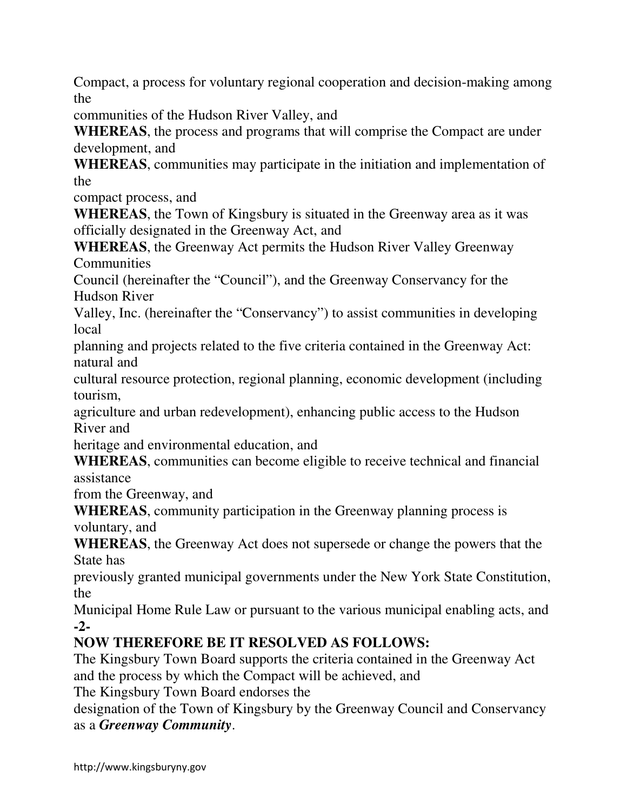Compact, a process for voluntary regional cooperation and decision-making among the

communities of the Hudson River Valley, and

**WHEREAS**, the process and programs that will comprise the Compact are under development, and

**WHEREAS**, communities may participate in the initiation and implementation of the

compact process, and

**WHEREAS**, the Town of Kingsbury is situated in the Greenway area as it was officially designated in the Greenway Act, and

**WHEREAS**, the Greenway Act permits the Hudson River Valley Greenway **Communities** 

Council (hereinafter the "Council"), and the Greenway Conservancy for the Hudson River

Valley, Inc. (hereinafter the "Conservancy") to assist communities in developing local

planning and projects related to the five criteria contained in the Greenway Act: natural and

cultural resource protection, regional planning, economic development (including tourism,

agriculture and urban redevelopment), enhancing public access to the Hudson River and

heritage and environmental education, and

**WHEREAS**, communities can become eligible to receive technical and financial assistance

from the Greenway, and

**WHEREAS**, community participation in the Greenway planning process is voluntary, and

**WHEREAS**, the Greenway Act does not supersede or change the powers that the State has

previously granted municipal governments under the New York State Constitution, the

Municipal Home Rule Law or pursuant to the various municipal enabling acts, and **-2-** 

# **NOW THEREFORE BE IT RESOLVED AS FOLLOWS:**

The Kingsbury Town Board supports the criteria contained in the Greenway Act and the process by which the Compact will be achieved, and

The Kingsbury Town Board endorses the

designation of the Town of Kingsbury by the Greenway Council and Conservancy as a *Greenway Community*.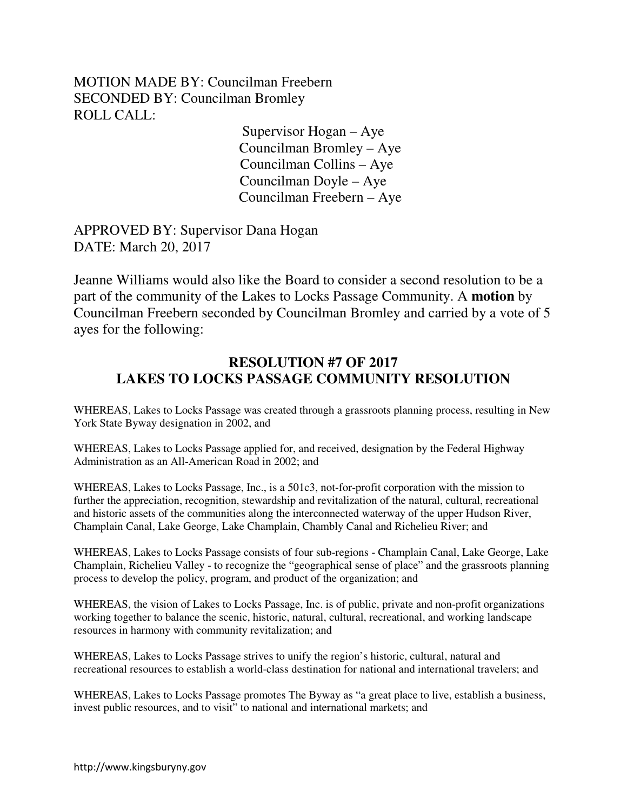MOTION MADE BY: Councilman Freebern SECONDED BY: Councilman Bromley ROLL CALL:

Supervisor Hogan – Aye Councilman Bromley – Aye Councilman Collins – Aye Councilman Doyle – Aye Councilman Freebern – Aye

APPROVED BY: Supervisor Dana Hogan DATE: March 20, 2017

Jeanne Williams would also like the Board to consider a second resolution to be a part of the community of the Lakes to Locks Passage Community. A **motion** by Councilman Freebern seconded by Councilman Bromley and carried by a vote of 5 ayes for the following:

## **RESOLUTION #7 OF 2017 LAKES TO LOCKS PASSAGE COMMUNITY RESOLUTION**

WHEREAS, Lakes to Locks Passage was created through a grassroots planning process, resulting in New York State Byway designation in 2002, and

WHEREAS, Lakes to Locks Passage applied for, and received, designation by the Federal Highway Administration as an All-American Road in 2002; and

WHEREAS, Lakes to Locks Passage, Inc., is a 501c3, not-for-profit corporation with the mission to further the appreciation, recognition, stewardship and revitalization of the natural, cultural, recreational and historic assets of the communities along the interconnected waterway of the upper Hudson River, Champlain Canal, Lake George, Lake Champlain, Chambly Canal and Richelieu River; and

WHEREAS, Lakes to Locks Passage consists of four sub-regions - Champlain Canal, Lake George, Lake Champlain, Richelieu Valley - to recognize the "geographical sense of place" and the grassroots planning process to develop the policy, program, and product of the organization; and

WHEREAS, the vision of Lakes to Locks Passage, Inc. is of public, private and non-profit organizations working together to balance the scenic, historic, natural, cultural, recreational, and working landscape resources in harmony with community revitalization; and

WHEREAS, Lakes to Locks Passage strives to unify the region's historic, cultural, natural and recreational resources to establish a world-class destination for national and international travelers; and

WHEREAS, Lakes to Locks Passage promotes The Byway as "a great place to live, establish a business, invest public resources, and to visit" to national and international markets; and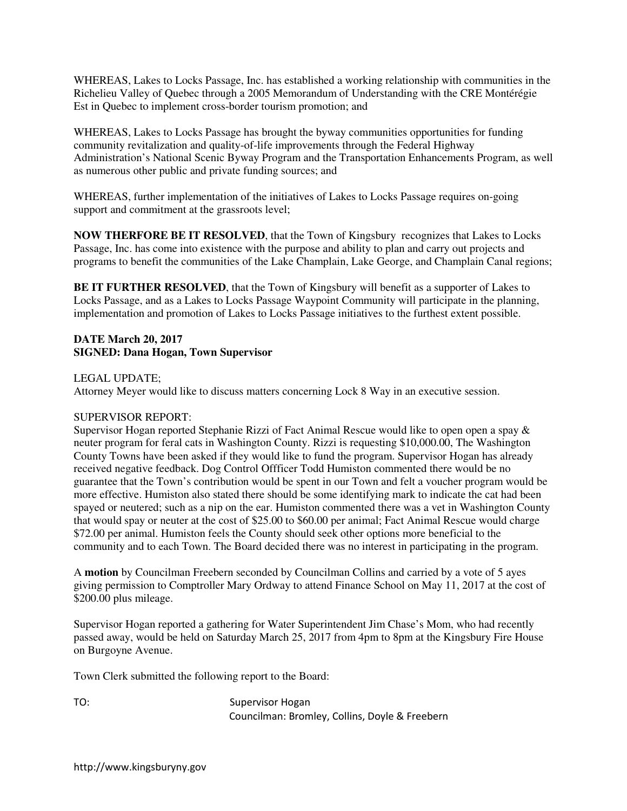WHEREAS, Lakes to Locks Passage, Inc. has established a working relationship with communities in the Richelieu Valley of Quebec through a 2005 Memorandum of Understanding with the CRE Montérégie Est in Quebec to implement cross-border tourism promotion; and

WHEREAS, Lakes to Locks Passage has brought the byway communities opportunities for funding community revitalization and quality-of-life improvements through the Federal Highway Administration's National Scenic Byway Program and the Transportation Enhancements Program, as well as numerous other public and private funding sources; and

WHEREAS, further implementation of the initiatives of Lakes to Locks Passage requires on-going support and commitment at the grassroots level;

**NOW THERFORE BE IT RESOLVED**, that the Town of Kingsbury recognizes that Lakes to Locks Passage, Inc. has come into existence with the purpose and ability to plan and carry out projects and programs to benefit the communities of the Lake Champlain, Lake George, and Champlain Canal regions;

**BE IT FURTHER RESOLVED**, that the Town of Kingsbury will benefit as a supporter of Lakes to Locks Passage, and as a Lakes to Locks Passage Waypoint Community will participate in the planning, implementation and promotion of Lakes to Locks Passage initiatives to the furthest extent possible.

#### **DATE March 20, 2017 SIGNED: Dana Hogan, Town Supervisor**

LEGAL UPDATE;

Attorney Meyer would like to discuss matters concerning Lock 8 Way in an executive session.

#### SUPERVISOR REPORT:

Supervisor Hogan reported Stephanie Rizzi of Fact Animal Rescue would like to open open a spay & neuter program for feral cats in Washington County. Rizzi is requesting \$10,000.00, The Washington County Towns have been asked if they would like to fund the program. Supervisor Hogan has already received negative feedback. Dog Control Offficer Todd Humiston commented there would be no guarantee that the Town's contribution would be spent in our Town and felt a voucher program would be more effective. Humiston also stated there should be some identifying mark to indicate the cat had been spayed or neutered; such as a nip on the ear. Humiston commented there was a vet in Washington County that would spay or neuter at the cost of \$25.00 to \$60.00 per animal; Fact Animal Rescue would charge \$72.00 per animal. Humiston feels the County should seek other options more beneficial to the community and to each Town. The Board decided there was no interest in participating in the program.

A **motion** by Councilman Freebern seconded by Councilman Collins and carried by a vote of 5 ayes giving permission to Comptroller Mary Ordway to attend Finance School on May 11, 2017 at the cost of \$200.00 plus mileage.

Supervisor Hogan reported a gathering for Water Superintendent Jim Chase's Mom, who had recently passed away, would be held on Saturday March 25, 2017 from 4pm to 8pm at the Kingsbury Fire House on Burgoyne Avenue.

Town Clerk submitted the following report to the Board:

TO: Supervisor Hogan Councilman: Bromley, Collins, Doyle & Freebern